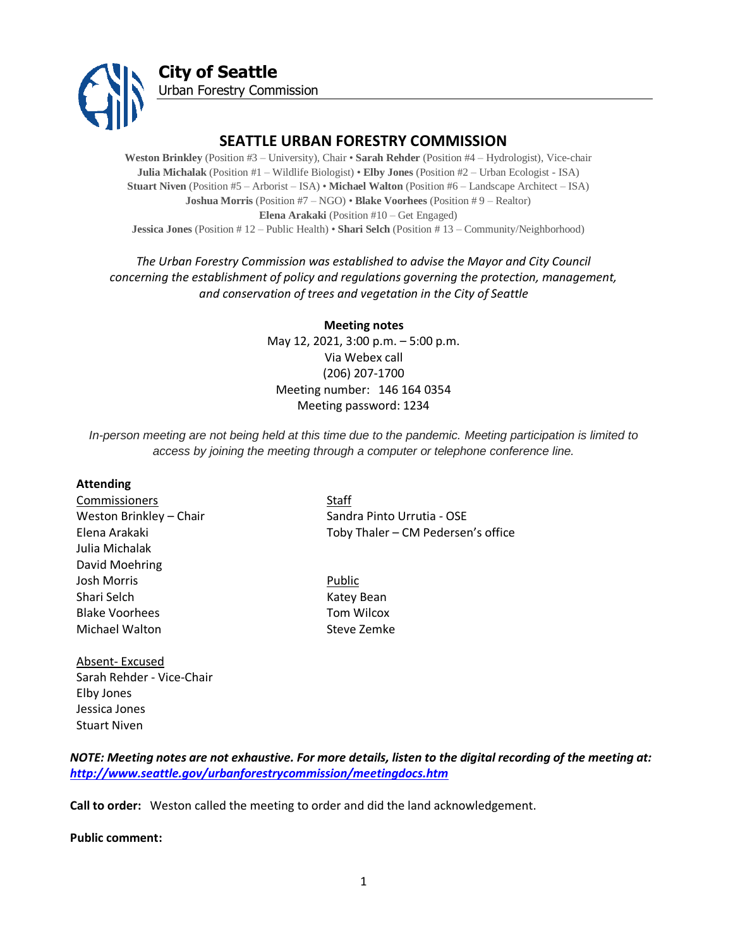

## **SEATTLE URBAN FORESTRY COMMISSION**

**Weston Brinkley** (Position #3 – University), Chair • **Sarah Rehder** (Position #4 – Hydrologist), Vice-chair **Julia Michalak** (Position #1 – Wildlife Biologist) • **Elby Jones** (Position #2 – Urban Ecologist - ISA) **Stuart Niven** (Position #5 – Arborist – ISA) • **Michael Walton** (Position #6 – Landscape Architect – ISA) **Joshua Morris** (Position #7 – NGO) • **Blake Voorhees** (Position # 9 – Realtor) **Elena Arakaki** (Position #10 – Get Engaged) **Jessica Jones** (Position # 12 – Public Health) • **Shari Selch** (Position # 13 – Community/Neighborhood)

## *The Urban Forestry Commission was established to advise the Mayor and City Council concerning the establishment of policy and regulations governing the protection, management, and conservation of trees and vegetation in the City of Seattle*

**Meeting notes** May 12, 2021, 3:00 p.m. – 5:00 p.m. Via Webex call (206) 207-1700 Meeting number: 146 164 0354 Meeting password: 1234

*In-person meeting are not being held at this time due to the pandemic. Meeting participation is limited to access by joining the meeting through a computer or telephone conference line.*

#### **Attending**

**Commissioners** Staff Julia Michalak David Moehring Josh Morris Public Shari Selch Katey Bean Blake Voorhees Tom Wilcox Michael Walton **Steve Zemke** 

Absent- Excused Sarah Rehder - Vice-Chair Elby Jones Jessica Jones Stuart Niven

Weston Brinkley – Chair Sandra Pinto Urrutia - OSE Elena Arakaki Toby Thaler – CM Pedersen's office

## *NOTE: Meeting notes are not exhaustive. For more details, listen to the digital recording of the meeting at: <http://www.seattle.gov/urbanforestrycommission/meetingdocs.htm>*

**Call to order:** Weston called the meeting to order and did the land acknowledgement.

**Public comment:**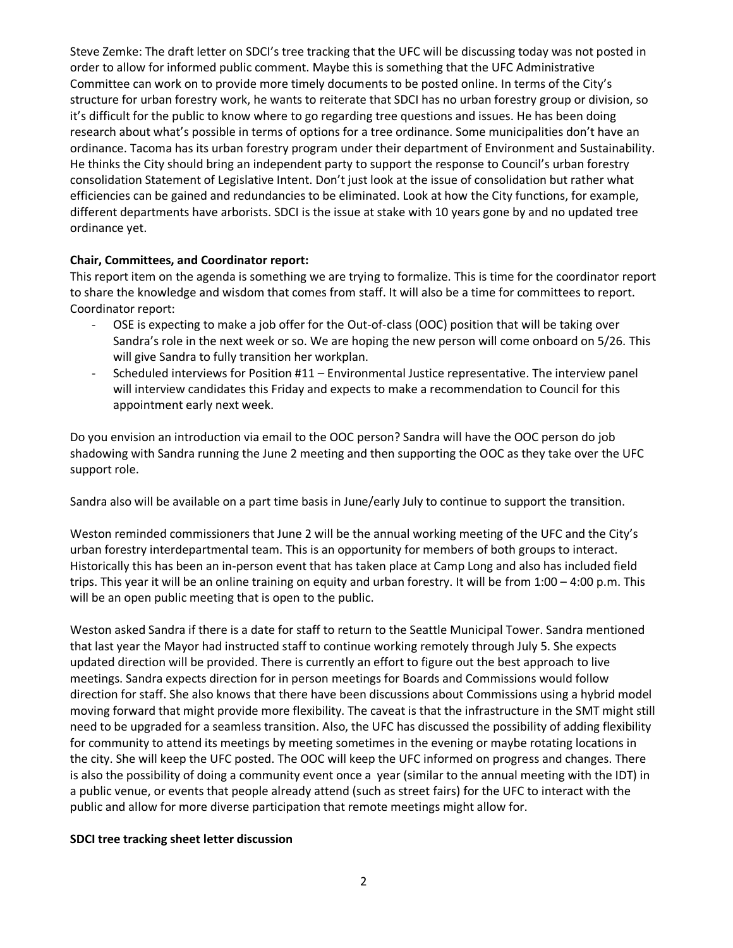Steve Zemke: The draft letter on SDCI's tree tracking that the UFC will be discussing today was not posted in order to allow for informed public comment. Maybe this is something that the UFC Administrative Committee can work on to provide more timely documents to be posted online. In terms of the City's structure for urban forestry work, he wants to reiterate that SDCI has no urban forestry group or division, so it's difficult for the public to know where to go regarding tree questions and issues. He has been doing research about what's possible in terms of options for a tree ordinance. Some municipalities don't have an ordinance. Tacoma has its urban forestry program under their department of Environment and Sustainability. He thinks the City should bring an independent party to support the response to Council's urban forestry consolidation Statement of Legislative Intent. Don't just look at the issue of consolidation but rather what efficiencies can be gained and redundancies to be eliminated. Look at how the City functions, for example, different departments have arborists. SDCI is the issue at stake with 10 years gone by and no updated tree ordinance yet.

## **Chair, Committees, and Coordinator report:**

This report item on the agenda is something we are trying to formalize. This is time for the coordinator report to share the knowledge and wisdom that comes from staff. It will also be a time for committees to report. Coordinator report:

- OSE is expecting to make a job offer for the Out-of-class (OOC) position that will be taking over Sandra's role in the next week or so. We are hoping the new person will come onboard on 5/26. This will give Sandra to fully transition her workplan.
- Scheduled interviews for Position #11 Environmental Justice representative. The interview panel will interview candidates this Friday and expects to make a recommendation to Council for this appointment early next week.

Do you envision an introduction via email to the OOC person? Sandra will have the OOC person do job shadowing with Sandra running the June 2 meeting and then supporting the OOC as they take over the UFC support role.

Sandra also will be available on a part time basis in June/early July to continue to support the transition.

Weston reminded commissioners that June 2 will be the annual working meeting of the UFC and the City's urban forestry interdepartmental team. This is an opportunity for members of both groups to interact. Historically this has been an in-person event that has taken place at Camp Long and also has included field trips. This year it will be an online training on equity and urban forestry. It will be from 1:00 – 4:00 p.m. This will be an open public meeting that is open to the public.

Weston asked Sandra if there is a date for staff to return to the Seattle Municipal Tower. Sandra mentioned that last year the Mayor had instructed staff to continue working remotely through July 5. She expects updated direction will be provided. There is currently an effort to figure out the best approach to live meetings. Sandra expects direction for in person meetings for Boards and Commissions would follow direction for staff. She also knows that there have been discussions about Commissions using a hybrid model moving forward that might provide more flexibility. The caveat is that the infrastructure in the SMT might still need to be upgraded for a seamless transition. Also, the UFC has discussed the possibility of adding flexibility for community to attend its meetings by meeting sometimes in the evening or maybe rotating locations in the city. She will keep the UFC posted. The OOC will keep the UFC informed on progress and changes. There is also the possibility of doing a community event once a year (similar to the annual meeting with the IDT) in a public venue, or events that people already attend (such as street fairs) for the UFC to interact with the public and allow for more diverse participation that remote meetings might allow for.

#### **SDCI tree tracking sheet letter discussion**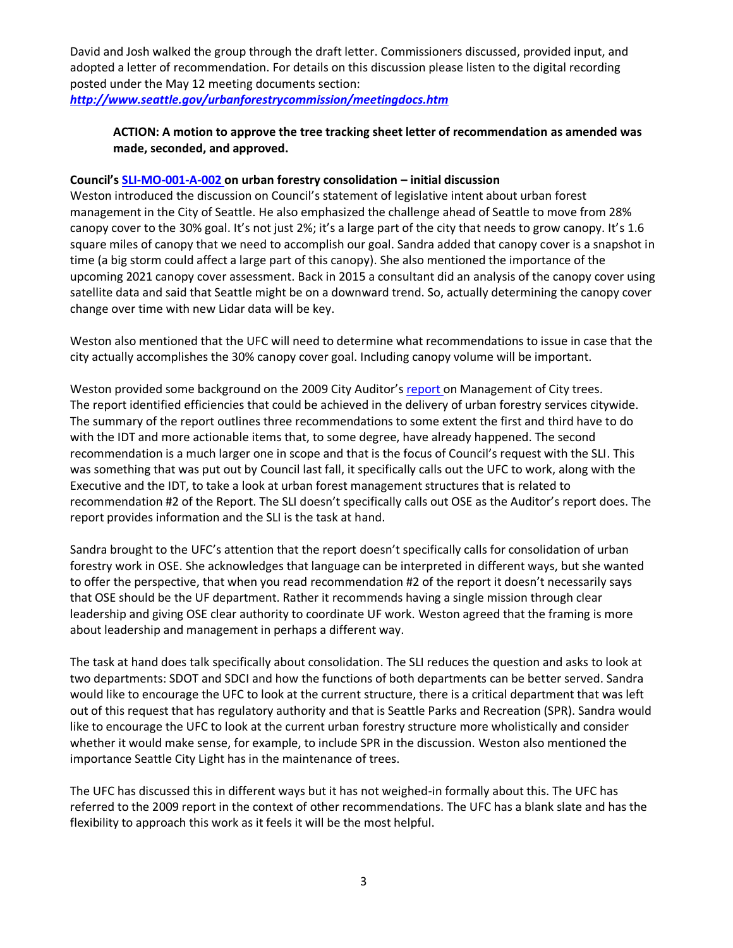David and Josh walked the group through the draft letter. Commissioners discussed, provided input, and adopted a letter of recommendation. For details on this discussion please listen to the digital recording posted under the May 12 meeting documents section: *<http://www.seattle.gov/urbanforestrycommission/meetingdocs.htm>*

## **ACTION: A motion to approve the tree tracking sheet letter of recommendation as amended was made, seconded, and approved.**

#### **Council's [SLI-MO-001-A-002](https://www.seattle.gov/Documents/Departments/UrbanForestryCommission/Resources/SLI-MO-001-A-002UFConsolidationFinal.pdf) on urban forestry consolidation – initial discussion**

Weston introduced the discussion on Council's statement of legislative intent about urban forest management in the City of Seattle. He also emphasized the challenge ahead of Seattle to move from 28% canopy cover to the 30% goal. It's not just 2%; it's a large part of the city that needs to grow canopy. It's 1.6 square miles of canopy that we need to accomplish our goal. Sandra added that canopy cover is a snapshot in time (a big storm could affect a large part of this canopy). She also mentioned the importance of the upcoming 2021 canopy cover assessment. Back in 2015 a consultant did an analysis of the canopy cover using satellite data and said that Seattle might be on a downward trend. So, actually determining the canopy cover change over time with new Lidar data will be key.

Weston also mentioned that the UFC will need to determine what recommendations to issue in case that the city actually accomplishes the 30% canopy cover goal. Including canopy volume will be important.

Weston provided some background on the 2009 City Auditor's [report](https://www.seattle.gov/Documents/Departments/UrbanForestryCommission/Resources/TreeAuditReport20090515.pdf) on Management of City trees. The report identified efficiencies that could be achieved in the delivery of urban forestry services citywide. The summary of the report outlines three recommendations to some extent the first and third have to do with the IDT and more actionable items that, to some degree, have already happened. The second recommendation is a much larger one in scope and that is the focus of Council's request with the SLI. This was something that was put out by Council last fall, it specifically calls out the UFC to work, along with the Executive and the IDT, to take a look at urban forest management structures that is related to recommendation #2 of the Report. The SLI doesn't specifically calls out OSE as the Auditor's report does. The report provides information and the SLI is the task at hand.

Sandra brought to the UFC's attention that the report doesn't specifically calls for consolidation of urban forestry work in OSE. She acknowledges that language can be interpreted in different ways, but she wanted to offer the perspective, that when you read recommendation #2 of the report it doesn't necessarily says that OSE should be the UF department. Rather it recommends having a single mission through clear leadership and giving OSE clear authority to coordinate UF work. Weston agreed that the framing is more about leadership and management in perhaps a different way.

The task at hand does talk specifically about consolidation. The SLI reduces the question and asks to look at two departments: SDOT and SDCI and how the functions of both departments can be better served. Sandra would like to encourage the UFC to look at the current structure, there is a critical department that was left out of this request that has regulatory authority and that is Seattle Parks and Recreation (SPR). Sandra would like to encourage the UFC to look at the current urban forestry structure more wholistically and consider whether it would make sense, for example, to include SPR in the discussion. Weston also mentioned the importance Seattle City Light has in the maintenance of trees.

The UFC has discussed this in different ways but it has not weighed-in formally about this. The UFC has referred to the 2009 report in the context of other recommendations. The UFC has a blank slate and has the flexibility to approach this work as it feels it will be the most helpful.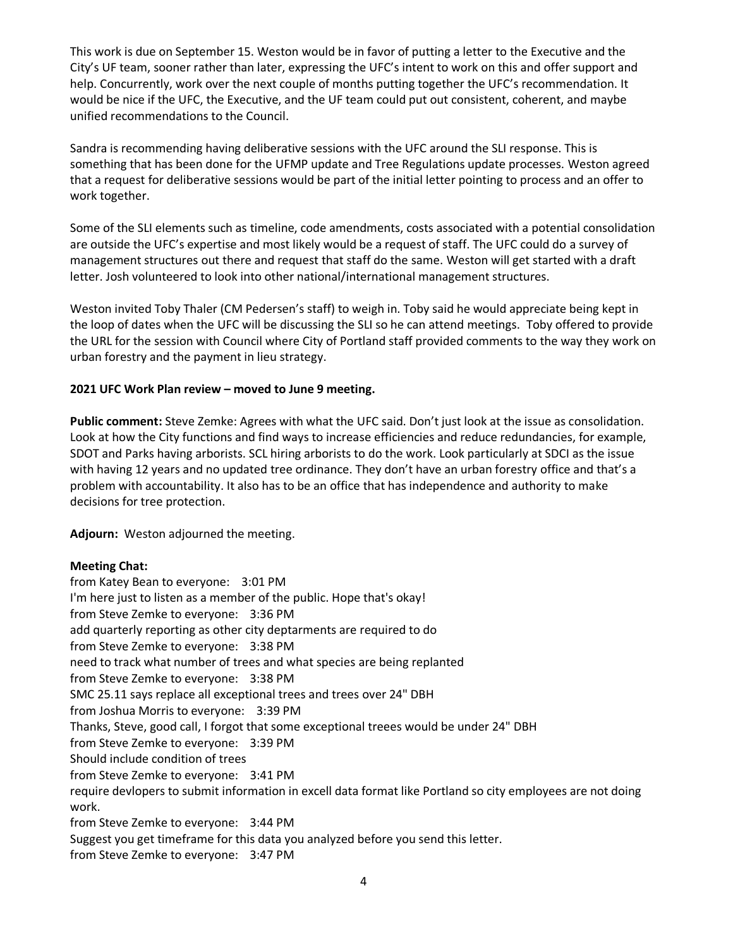This work is due on September 15. Weston would be in favor of putting a letter to the Executive and the City's UF team, sooner rather than later, expressing the UFC's intent to work on this and offer support and help. Concurrently, work over the next couple of months putting together the UFC's recommendation. It would be nice if the UFC, the Executive, and the UF team could put out consistent, coherent, and maybe unified recommendations to the Council.

Sandra is recommending having deliberative sessions with the UFC around the SLI response. This is something that has been done for the UFMP update and Tree Regulations update processes. Weston agreed that a request for deliberative sessions would be part of the initial letter pointing to process and an offer to work together.

Some of the SLI elements such as timeline, code amendments, costs associated with a potential consolidation are outside the UFC's expertise and most likely would be a request of staff. The UFC could do a survey of management structures out there and request that staff do the same. Weston will get started with a draft letter. Josh volunteered to look into other national/international management structures.

Weston invited Toby Thaler (CM Pedersen's staff) to weigh in. Toby said he would appreciate being kept in the loop of dates when the UFC will be discussing the SLI so he can attend meetings. Toby offered to provide the URL for the session with Council where City of Portland staff provided comments to the way they work on urban forestry and the payment in lieu strategy.

## **2021 UFC Work Plan review – moved to June 9 meeting.**

**Public comment:** Steve Zemke: Agrees with what the UFC said. Don't just look at the issue as consolidation. Look at how the City functions and find ways to increase efficiencies and reduce redundancies, for example, SDOT and Parks having arborists. SCL hiring arborists to do the work. Look particularly at SDCI as the issue with having 12 years and no updated tree ordinance. They don't have an urban forestry office and that's a problem with accountability. It also has to be an office that has independence and authority to make decisions for tree protection.

**Adjourn:** Weston adjourned the meeting.

#### **Meeting Chat:**

from Katey Bean to everyone: 3:01 PM I'm here just to listen as a member of the public. Hope that's okay! from Steve Zemke to everyone: 3:36 PM add quarterly reporting as other city deptarments are required to do from Steve Zemke to everyone: 3:38 PM need to track what number of trees and what species are being replanted from Steve Zemke to everyone: 3:38 PM SMC 25.11 says replace all exceptional trees and trees over 24" DBH from Joshua Morris to everyone: 3:39 PM Thanks, Steve, good call, I forgot that some exceptional treees would be under 24" DBH from Steve Zemke to everyone: 3:39 PM Should include condition of trees from Steve Zemke to everyone: 3:41 PM require devlopers to submit information in excell data format like Portland so city employees are not doing work. from Steve Zemke to everyone: 3:44 PM Suggest you get timeframe for this data you analyzed before you send this letter. from Steve Zemke to everyone: 3:47 PM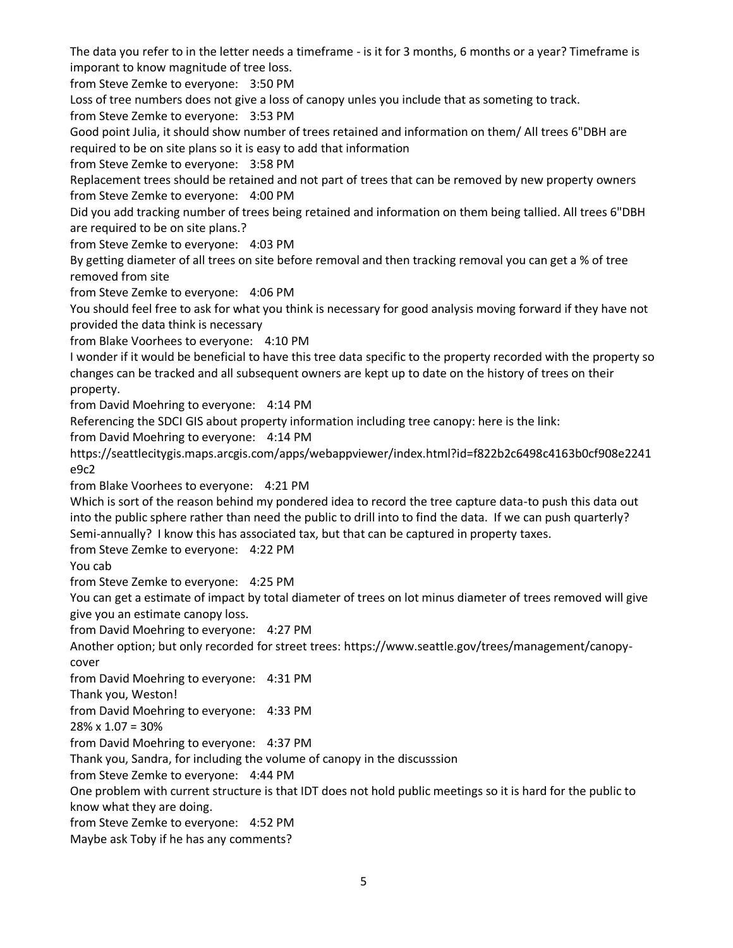The data you refer to in the letter needs a timeframe - is it for 3 months, 6 months or a year? Timeframe is imporant to know magnitude of tree loss.

from Steve Zemke to everyone: 3:50 PM

Loss of tree numbers does not give a loss of canopy unles you include that as someting to track.

from Steve Zemke to everyone: 3:53 PM

Good point Julia, it should show number of trees retained and information on them/ All trees 6"DBH are required to be on site plans so it is easy to add that information

from Steve Zemke to everyone: 3:58 PM

Replacement trees should be retained and not part of trees that can be removed by new property owners from Steve Zemke to everyone: 4:00 PM

Did you add tracking number of trees being retained and information on them being tallied. All trees 6"DBH are required to be on site plans.?

from Steve Zemke to everyone: 4:03 PM

By getting diameter of all trees on site before removal and then tracking removal you can get a % of tree removed from site

from Steve Zemke to everyone: 4:06 PM

You should feel free to ask for what you think is necessary for good analysis moving forward if they have not provided the data think is necessary

from Blake Voorhees to everyone: 4:10 PM

I wonder if it would be beneficial to have this tree data specific to the property recorded with the property so changes can be tracked and all subsequent owners are kept up to date on the history of trees on their property.

from David Moehring to everyone: 4:14 PM

Referencing the SDCI GIS about property information including tree canopy: here is the link:

from David Moehring to everyone: 4:14 PM

https://seattlecitygis.maps.arcgis.com/apps/webappviewer/index.html?id=f822b2c6498c4163b0cf908e2241 e9c2

from Blake Voorhees to everyone: 4:21 PM

Which is sort of the reason behind my pondered idea to record the tree capture data-to push this data out into the public sphere rather than need the public to drill into to find the data. If we can push quarterly? Semi-annually? I know this has associated tax, but that can be captured in property taxes.

from Steve Zemke to everyone: 4:22 PM

You cab

from Steve Zemke to everyone: 4:25 PM

You can get a estimate of impact by total diameter of trees on lot minus diameter of trees removed will give give you an estimate canopy loss.

from David Moehring to everyone: 4:27 PM

Another option; but only recorded for street trees: https://www.seattle.gov/trees/management/canopycover

from David Moehring to everyone: 4:31 PM

Thank you, Weston!

from David Moehring to everyone: 4:33 PM

 $28\% \times 1.07 = 30\%$ 

from David Moehring to everyone: 4:37 PM

Thank you, Sandra, for including the volume of canopy in the discusssion

from Steve Zemke to everyone: 4:44 PM

One problem with current structure is that IDT does not hold public meetings so it is hard for the public to know what they are doing.

from Steve Zemke to everyone: 4:52 PM

Maybe ask Toby if he has any comments?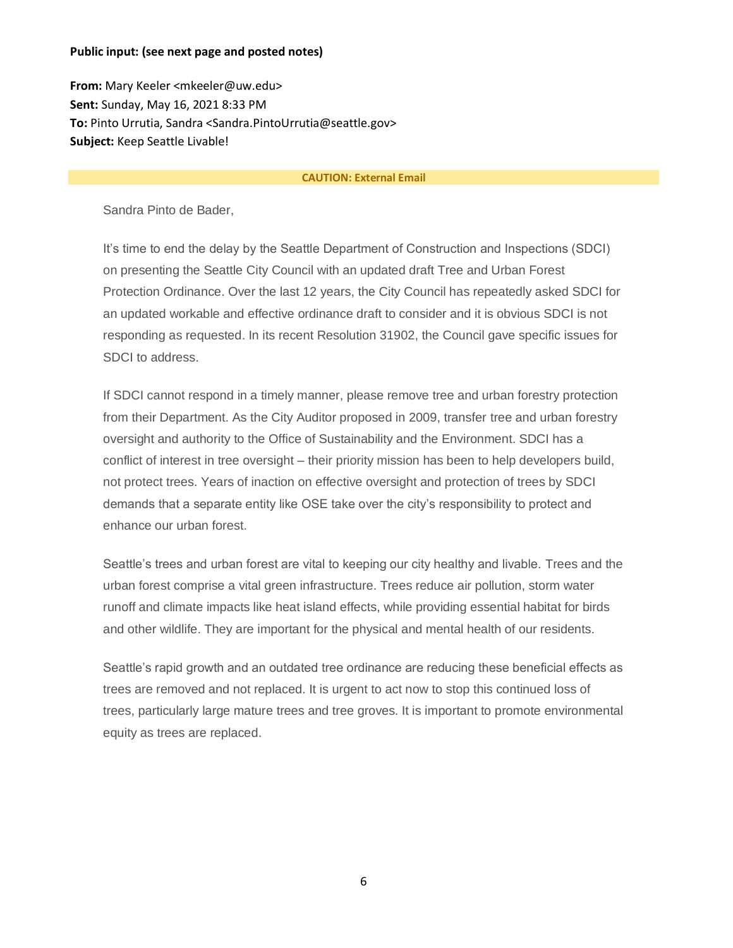#### **Public input: (see next page and posted notes)**

**From:** Mary Keeler <mkeeler@uw.edu> **Sent:** Sunday, May 16, 2021 8:33 PM **To:** Pinto Urrutia, Sandra <Sandra.PintoUrrutia@seattle.gov> **Subject:** Keep Seattle Livable!

#### **CAUTION: External Email**

Sandra Pinto de Bader,

It's time to end the delay by the Seattle Department of Construction and Inspections (SDCI) on presenting the Seattle City Council with an updated draft Tree and Urban Forest Protection Ordinance. Over the last 12 years, the City Council has repeatedly asked SDCI for an updated workable and effective ordinance draft to consider and it is obvious SDCI is not responding as requested. In its recent Resolution 31902, the Council gave specific issues for SDCI to address.

If SDCI cannot respond in a timely manner, please remove tree and urban forestry protection from their Department. As the City Auditor proposed in 2009, transfer tree and urban forestry oversight and authority to the Office of Sustainability and the Environment. SDCI has a conflict of interest in tree oversight – their priority mission has been to help developers build, not protect trees. Years of inaction on effective oversight and protection of trees by SDCI demands that a separate entity like OSE take over the city's responsibility to protect and enhance our urban forest.

Seattle's trees and urban forest are vital to keeping our city healthy and livable. Trees and the urban forest comprise a vital green infrastructure. Trees reduce air pollution, storm water runoff and climate impacts like heat island effects, while providing essential habitat for birds and other wildlife. They are important for the physical and mental health of our residents.

Seattle's rapid growth and an outdated tree ordinance are reducing these beneficial effects as trees are removed and not replaced. It is urgent to act now to stop this continued loss of trees, particularly large mature trees and tree groves. It is important to promote environmental equity as trees are replaced.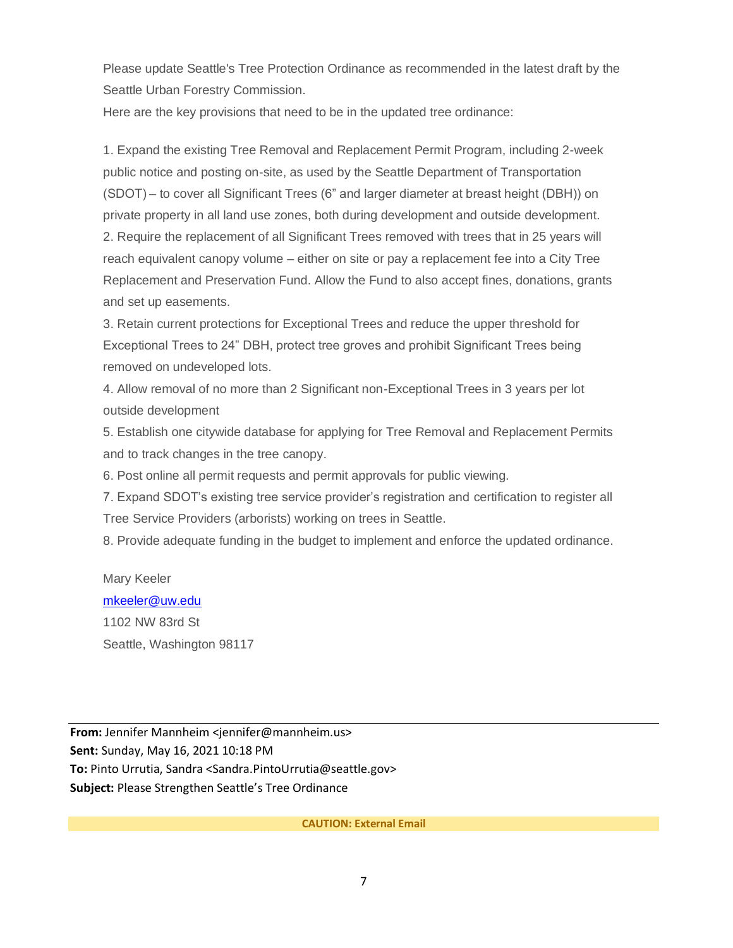Please update Seattle's Tree Protection Ordinance as recommended in the latest draft by the Seattle Urban Forestry Commission.

Here are the key provisions that need to be in the updated tree ordinance:

1. Expand the existing Tree Removal and Replacement Permit Program, including 2-week public notice and posting on-site, as used by the Seattle Department of Transportation (SDOT) – to cover all Significant Trees (6" and larger diameter at breast height (DBH)) on private property in all land use zones, both during development and outside development. 2. Require the replacement of all Significant Trees removed with trees that in 25 years will reach equivalent canopy volume – either on site or pay a replacement fee into a City Tree Replacement and Preservation Fund. Allow the Fund to also accept fines, donations, grants and set up easements.

3. Retain current protections for Exceptional Trees and reduce the upper threshold for Exceptional Trees to 24" DBH, protect tree groves and prohibit Significant Trees being removed on undeveloped lots.

4. Allow removal of no more than 2 Significant non-Exceptional Trees in 3 years per lot outside development

5. Establish one citywide database for applying for Tree Removal and Replacement Permits and to track changes in the tree canopy.

6. Post online all permit requests and permit approvals for public viewing.

7. Expand SDOT's existing tree service provider's registration and certification to register all Tree Service Providers (arborists) working on trees in Seattle.

8. Provide adequate funding in the budget to implement and enforce the updated ordinance.

## Mary Keeler [mkeeler@uw.edu](mailto:mkeeler@uw.edu) 1102 NW 83rd St Seattle, Washington 98117

**From:** Jennifer Mannheim <jennifer@mannheim.us> **Sent:** Sunday, May 16, 2021 10:18 PM **To:** Pinto Urrutia, Sandra <Sandra.PintoUrrutia@seattle.gov> **Subject:** Please Strengthen Seattle's Tree Ordinance

**CAUTION: External Email**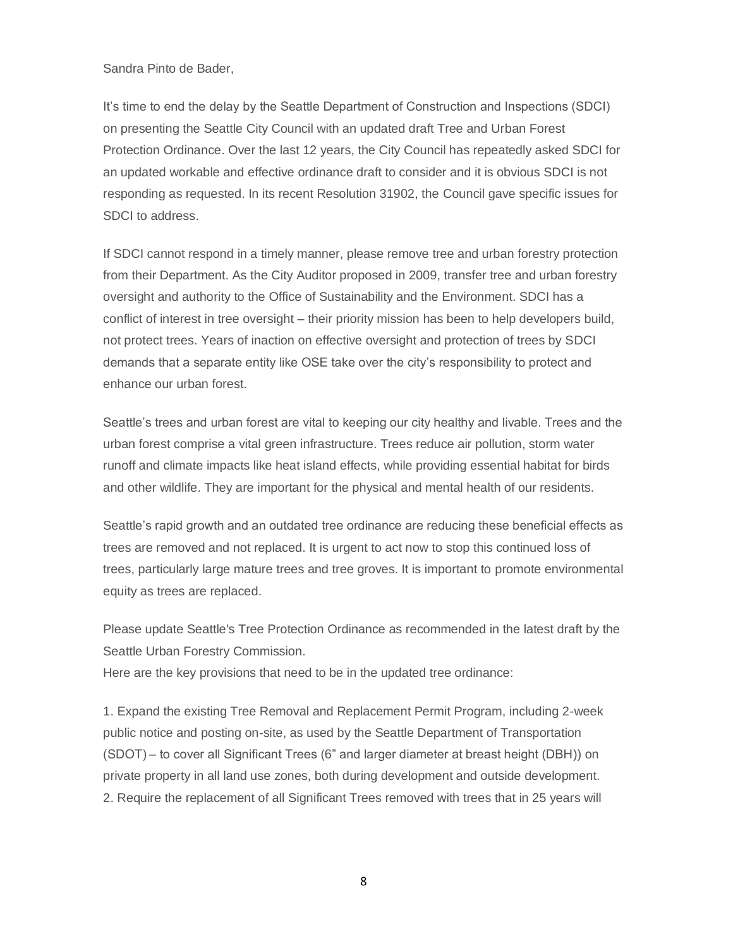Sandra Pinto de Bader,

It's time to end the delay by the Seattle Department of Construction and Inspections (SDCI) on presenting the Seattle City Council with an updated draft Tree and Urban Forest Protection Ordinance. Over the last 12 years, the City Council has repeatedly asked SDCI for an updated workable and effective ordinance draft to consider and it is obvious SDCI is not responding as requested. In its recent Resolution 31902, the Council gave specific issues for SDCI to address.

If SDCI cannot respond in a timely manner, please remove tree and urban forestry protection from their Department. As the City Auditor proposed in 2009, transfer tree and urban forestry oversight and authority to the Office of Sustainability and the Environment. SDCI has a conflict of interest in tree oversight – their priority mission has been to help developers build, not protect trees. Years of inaction on effective oversight and protection of trees by SDCI demands that a separate entity like OSE take over the city's responsibility to protect and enhance our urban forest.

Seattle's trees and urban forest are vital to keeping our city healthy and livable. Trees and the urban forest comprise a vital green infrastructure. Trees reduce air pollution, storm water runoff and climate impacts like heat island effects, while providing essential habitat for birds and other wildlife. They are important for the physical and mental health of our residents.

Seattle's rapid growth and an outdated tree ordinance are reducing these beneficial effects as trees are removed and not replaced. It is urgent to act now to stop this continued loss of trees, particularly large mature trees and tree groves. It is important to promote environmental equity as trees are replaced.

Please update Seattle's Tree Protection Ordinance as recommended in the latest draft by the Seattle Urban Forestry Commission.

Here are the key provisions that need to be in the updated tree ordinance:

1. Expand the existing Tree Removal and Replacement Permit Program, including 2-week public notice and posting on-site, as used by the Seattle Department of Transportation (SDOT) – to cover all Significant Trees (6" and larger diameter at breast height (DBH)) on private property in all land use zones, both during development and outside development. 2. Require the replacement of all Significant Trees removed with trees that in 25 years will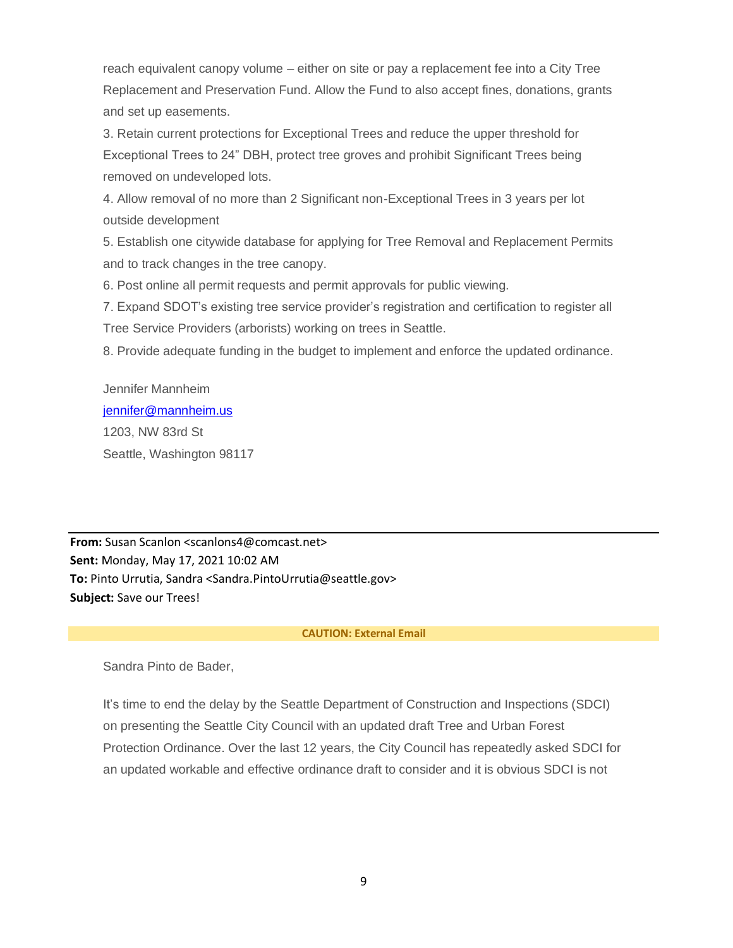reach equivalent canopy volume – either on site or pay a replacement fee into a City Tree Replacement and Preservation Fund. Allow the Fund to also accept fines, donations, grants and set up easements.

3. Retain current protections for Exceptional Trees and reduce the upper threshold for Exceptional Trees to 24" DBH, protect tree groves and prohibit Significant Trees being removed on undeveloped lots.

4. Allow removal of no more than 2 Significant non-Exceptional Trees in 3 years per lot outside development

5. Establish one citywide database for applying for Tree Removal and Replacement Permits and to track changes in the tree canopy.

6. Post online all permit requests and permit approvals for public viewing.

7. Expand SDOT's existing tree service provider's registration and certification to register all Tree Service Providers (arborists) working on trees in Seattle.

8. Provide adequate funding in the budget to implement and enforce the updated ordinance.

# Jennifer Mannheim [jennifer@mannheim.us](mailto:jennifer@mannheim.us) 1203, NW 83rd St

Seattle, Washington 98117

**From:** Susan Scanlon <scanlons4@comcast.net> **Sent:** Monday, May 17, 2021 10:02 AM **To:** Pinto Urrutia, Sandra <Sandra.PintoUrrutia@seattle.gov> **Subject:** Save our Trees!

#### **CAUTION: External Email**

Sandra Pinto de Bader,

It's time to end the delay by the Seattle Department of Construction and Inspections (SDCI) on presenting the Seattle City Council with an updated draft Tree and Urban Forest Protection Ordinance. Over the last 12 years, the City Council has repeatedly asked SDCI for an updated workable and effective ordinance draft to consider and it is obvious SDCI is not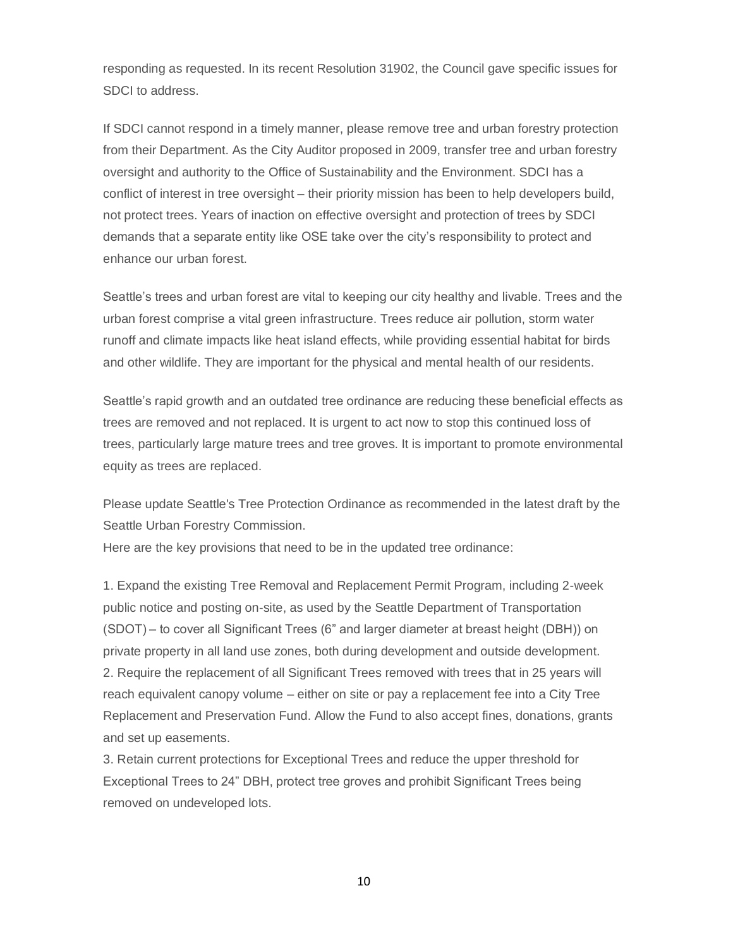responding as requested. In its recent Resolution 31902, the Council gave specific issues for SDCI to address.

If SDCI cannot respond in a timely manner, please remove tree and urban forestry protection from their Department. As the City Auditor proposed in 2009, transfer tree and urban forestry oversight and authority to the Office of Sustainability and the Environment. SDCI has a conflict of interest in tree oversight – their priority mission has been to help developers build, not protect trees. Years of inaction on effective oversight and protection of trees by SDCI demands that a separate entity like OSE take over the city's responsibility to protect and enhance our urban forest.

Seattle's trees and urban forest are vital to keeping our city healthy and livable. Trees and the urban forest comprise a vital green infrastructure. Trees reduce air pollution, storm water runoff and climate impacts like heat island effects, while providing essential habitat for birds and other wildlife. They are important for the physical and mental health of our residents.

Seattle's rapid growth and an outdated tree ordinance are reducing these beneficial effects as trees are removed and not replaced. It is urgent to act now to stop this continued loss of trees, particularly large mature trees and tree groves. It is important to promote environmental equity as trees are replaced.

Please update Seattle's Tree Protection Ordinance as recommended in the latest draft by the Seattle Urban Forestry Commission.

Here are the key provisions that need to be in the updated tree ordinance:

1. Expand the existing Tree Removal and Replacement Permit Program, including 2-week public notice and posting on-site, as used by the Seattle Department of Transportation (SDOT) – to cover all Significant Trees (6" and larger diameter at breast height (DBH)) on private property in all land use zones, both during development and outside development. 2. Require the replacement of all Significant Trees removed with trees that in 25 years will reach equivalent canopy volume – either on site or pay a replacement fee into a City Tree Replacement and Preservation Fund. Allow the Fund to also accept fines, donations, grants and set up easements.

3. Retain current protections for Exceptional Trees and reduce the upper threshold for Exceptional Trees to 24" DBH, protect tree groves and prohibit Significant Trees being removed on undeveloped lots.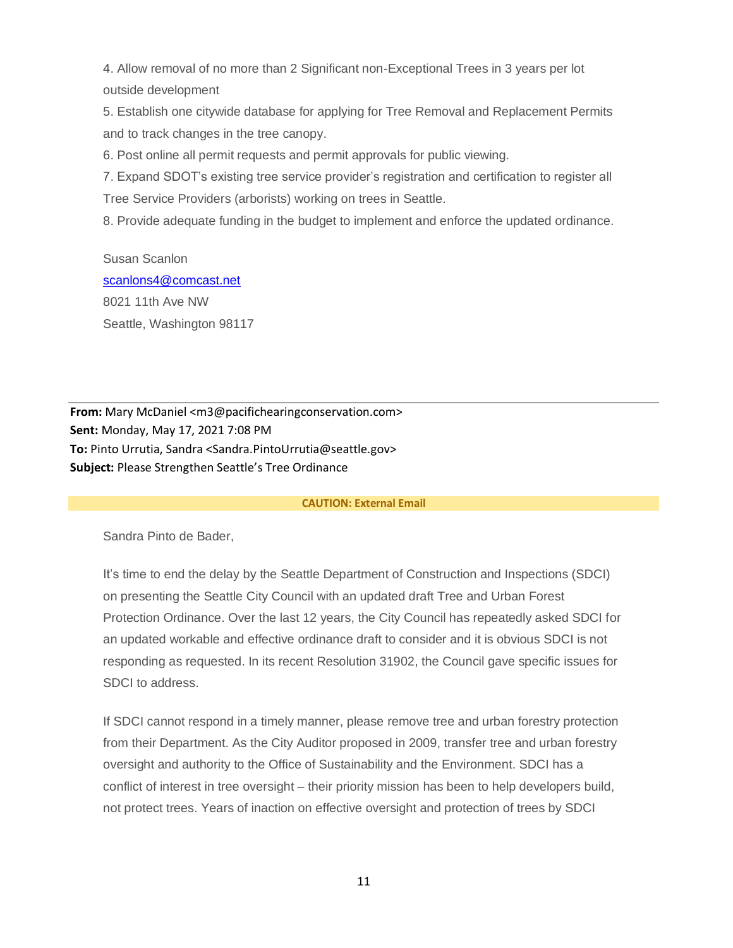4. Allow removal of no more than 2 Significant non-Exceptional Trees in 3 years per lot outside development

5. Establish one citywide database for applying for Tree Removal and Replacement Permits and to track changes in the tree canopy.

6. Post online all permit requests and permit approvals for public viewing.

7. Expand SDOT's existing tree service provider's registration and certification to register all Tree Service Providers (arborists) working on trees in Seattle.

8. Provide adequate funding in the budget to implement and enforce the updated ordinance.

Susan Scanlon [scanlons4@comcast.net](mailto:scanlons4@comcast.net) 8021 11th Ave NW Seattle, Washington 98117

**From:** Mary McDaniel <m3@pacifichearingconservation.com> **Sent:** Monday, May 17, 2021 7:08 PM **To:** Pinto Urrutia, Sandra <Sandra.PintoUrrutia@seattle.gov> **Subject:** Please Strengthen Seattle's Tree Ordinance

#### **CAUTION: External Email**

Sandra Pinto de Bader,

It's time to end the delay by the Seattle Department of Construction and Inspections (SDCI) on presenting the Seattle City Council with an updated draft Tree and Urban Forest Protection Ordinance. Over the last 12 years, the City Council has repeatedly asked SDCI for an updated workable and effective ordinance draft to consider and it is obvious SDCI is not responding as requested. In its recent Resolution 31902, the Council gave specific issues for SDCI to address.

If SDCI cannot respond in a timely manner, please remove tree and urban forestry protection from their Department. As the City Auditor proposed in 2009, transfer tree and urban forestry oversight and authority to the Office of Sustainability and the Environment. SDCI has a conflict of interest in tree oversight – their priority mission has been to help developers build, not protect trees. Years of inaction on effective oversight and protection of trees by SDCI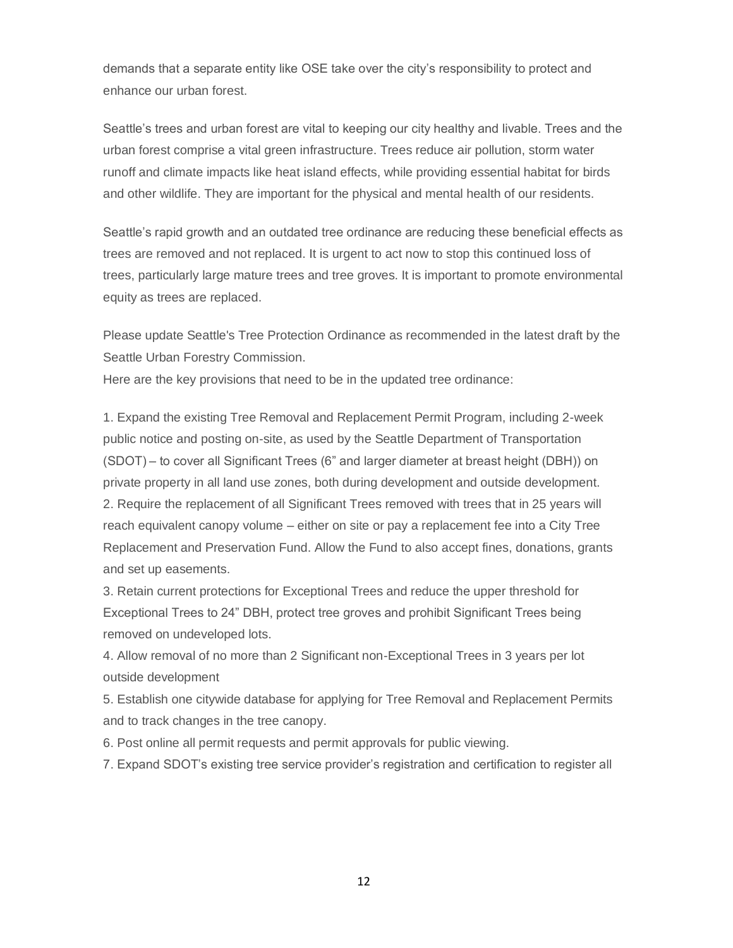demands that a separate entity like OSE take over the city's responsibility to protect and enhance our urban forest.

Seattle's trees and urban forest are vital to keeping our city healthy and livable. Trees and the urban forest comprise a vital green infrastructure. Trees reduce air pollution, storm water runoff and climate impacts like heat island effects, while providing essential habitat for birds and other wildlife. They are important for the physical and mental health of our residents.

Seattle's rapid growth and an outdated tree ordinance are reducing these beneficial effects as trees are removed and not replaced. It is urgent to act now to stop this continued loss of trees, particularly large mature trees and tree groves. It is important to promote environmental equity as trees are replaced.

Please update Seattle's Tree Protection Ordinance as recommended in the latest draft by the Seattle Urban Forestry Commission.

Here are the key provisions that need to be in the updated tree ordinance:

1. Expand the existing Tree Removal and Replacement Permit Program, including 2-week public notice and posting on-site, as used by the Seattle Department of Transportation (SDOT) – to cover all Significant Trees (6" and larger diameter at breast height (DBH)) on private property in all land use zones, both during development and outside development. 2. Require the replacement of all Significant Trees removed with trees that in 25 years will reach equivalent canopy volume – either on site or pay a replacement fee into a City Tree Replacement and Preservation Fund. Allow the Fund to also accept fines, donations, grants and set up easements.

3. Retain current protections for Exceptional Trees and reduce the upper threshold for Exceptional Trees to 24" DBH, protect tree groves and prohibit Significant Trees being removed on undeveloped lots.

4. Allow removal of no more than 2 Significant non-Exceptional Trees in 3 years per lot outside development

5. Establish one citywide database for applying for Tree Removal and Replacement Permits and to track changes in the tree canopy.

6. Post online all permit requests and permit approvals for public viewing.

7. Expand SDOT's existing tree service provider's registration and certification to register all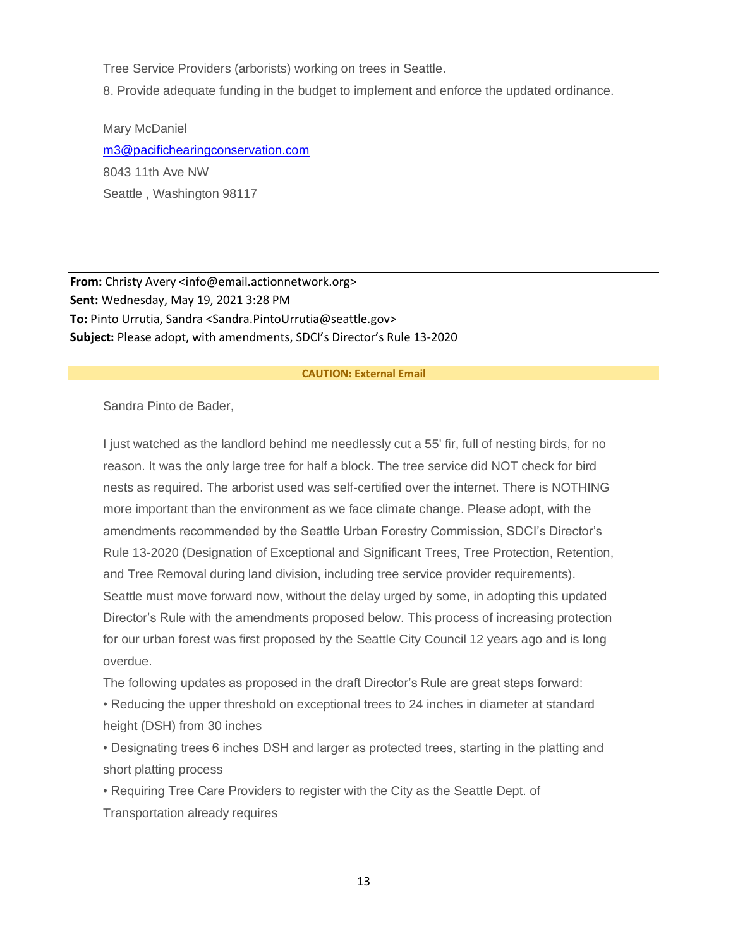Tree Service Providers (arborists) working on trees in Seattle.

8. Provide adequate funding in the budget to implement and enforce the updated ordinance.

Mary McDaniel [m3@pacifichearingconservation.com](mailto:m3@pacifichearingconservation.com) 8043 11th Ave NW Seattle , Washington 98117

**From:** Christy Avery <info@email.actionnetwork.org> **Sent:** Wednesday, May 19, 2021 3:28 PM **To:** Pinto Urrutia, Sandra <Sandra.PintoUrrutia@seattle.gov> **Subject:** Please adopt, with amendments, SDCI's Director's Rule 13-2020

#### **CAUTION: External Email**

Sandra Pinto de Bader,

I just watched as the landlord behind me needlessly cut a 55' fir, full of nesting birds, for no reason. It was the only large tree for half a block. The tree service did NOT check for bird nests as required. The arborist used was self-certified over the internet. There is NOTHING more important than the environment as we face climate change. Please adopt, with the amendments recommended by the Seattle Urban Forestry Commission, SDCI's Director's Rule 13-2020 (Designation of Exceptional and Significant Trees, Tree Protection, Retention, and Tree Removal during land division, including tree service provider requirements). Seattle must move forward now, without the delay urged by some, in adopting this updated Director's Rule with the amendments proposed below. This process of increasing protection for our urban forest was first proposed by the Seattle City Council 12 years ago and is long overdue.

The following updates as proposed in the draft Director's Rule are great steps forward:

• Reducing the upper threshold on exceptional trees to 24 inches in diameter at standard height (DSH) from 30 inches

• Designating trees 6 inches DSH and larger as protected trees, starting in the platting and short platting process

• Requiring Tree Care Providers to register with the City as the Seattle Dept. of Transportation already requires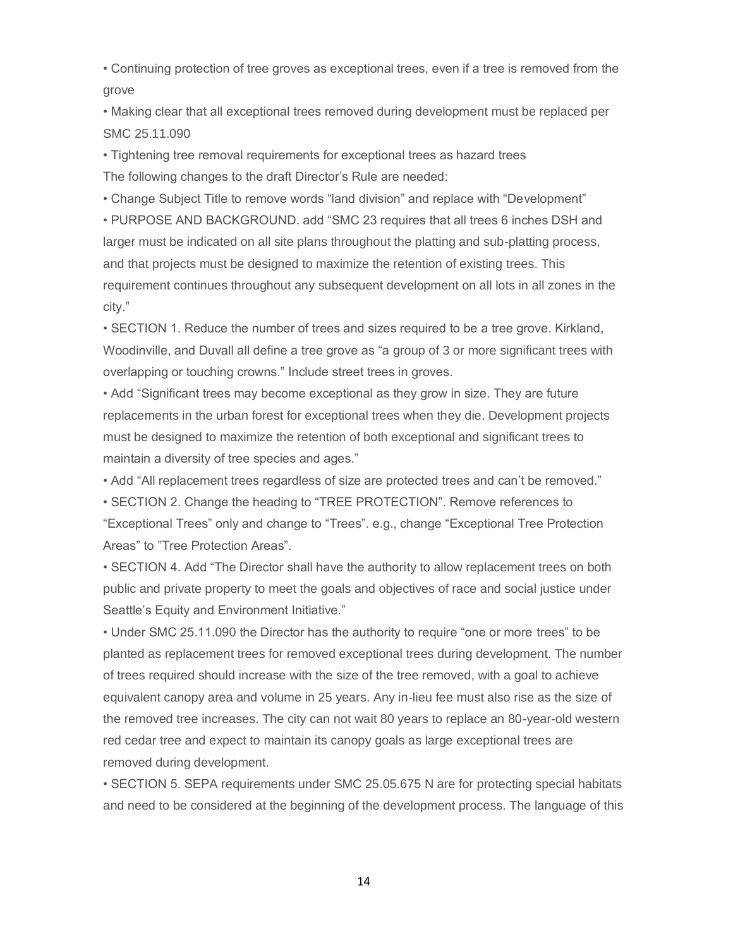• Continuing protection of tree groves as exceptional trees, even if a tree is removed from the grove

• Making clear that all exceptional trees removed during development must be replaced per SMC 25.11.090

• Tightening tree removal requirements for exceptional trees as hazard trees The following changes to the draft Director's Rule are needed:

• Change Subject Title to remove words "land division" and replace with "Development"

• PURPOSE AND BACKGROUND. add "SMC 23 requires that all trees 6 inches DSH and larger must be indicated on all site plans throughout the platting and sub-platting process, and that projects must be designed to maximize the retention of existing trees. This requirement continues throughout any subsequent development on all lots in all zones in the city."

• SECTION 1. Reduce the number of trees and sizes required to be a tree grove. Kirkland, Woodinville, and Duvall all define a tree grove as "a group of 3 or more significant trees with overlapping or touching crowns." Include street trees in groves.

• Add "Significant trees may become exceptional as they grow in size. They are future replacements in the urban forest for exceptional trees when they die. Development projects must be designed to maximize the retention of both exceptional and significant trees to maintain a diversity of tree species and ages."

• Add "All replacement trees regardless of size are protected trees and can't be removed."

• SECTION 2. Change the heading to "TREE PROTECTION". Remove references to "Exceptional Trees" only and change to "Trees". e.g., change "Exceptional Tree Protection Areas" to "Tree Protection Areas".

• SECTION 4. Add "The Director shall have the authority to allow replacement trees on both public and private property to meet the goals and objectives of race and social justice under Seattle's Equity and Environment Initiative."

• Under SMC 25.11.090 the Director has the authority to require "one or more trees" to be planted as replacement trees for removed exceptional trees during development. The number of trees required should increase with the size of the tree removed, with a goal to achieve equivalent canopy area and volume in 25 years. Any in-lieu fee must also rise as the size of the removed tree increases. The city can not wait 80 years to replace an 80-year-old western red cedar tree and expect to maintain its canopy goals as large exceptional trees are removed during development.

• SECTION 5. SEPA requirements under SMC 25.05.675 N are for protecting special habitats and need to be considered at the beginning of the development process. The language of this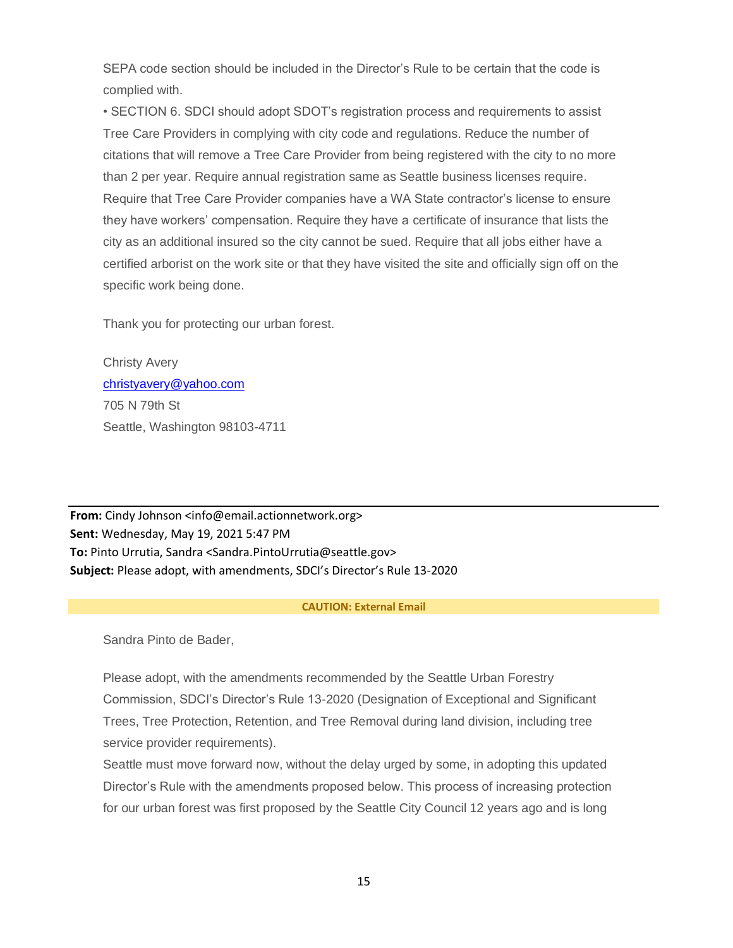SEPA code section should be included in the Director's Rule to be certain that the code is complied with.

• SECTION 6. SDCI should adopt SDOT's registration process and requirements to assist Tree Care Providers in complying with city code and regulations. Reduce the number of citations that will remove a Tree Care Provider from being registered with the city to no more than 2 per year. Require annual registration same as Seattle business licenses require. Require that Tree Care Provider companies have a WA State contractor's license to ensure they have workers' compensation. Require they have a certificate of insurance that lists the city as an additional insured so the city cannot be sued. Require that all jobs either have a certified arborist on the work site or that they have visited the site and officially sign off on the specific work being done.

Thank you for protecting our urban forest.

Christy Avery [christyavery@yahoo.com](mailto:christyavery@yahoo.com) 705 N 79th St Seattle, Washington 98103-4711

**From:** Cindy Johnson <info@email.actionnetwork.org> **Sent:** Wednesday, May 19, 2021 5:47 PM **To:** Pinto Urrutia, Sandra <Sandra.PintoUrrutia@seattle.gov> **Subject:** Please adopt, with amendments, SDCI's Director's Rule 13-2020

#### **CAUTION: External Email**

Sandra Pinto de Bader,

Please adopt, with the amendments recommended by the Seattle Urban Forestry Commission, SDCI's Director's Rule 13-2020 (Designation of Exceptional and Significant Trees, Tree Protection, Retention, and Tree Removal during land division, including tree service provider requirements).

Seattle must move forward now, without the delay urged by some, in adopting this updated Director's Rule with the amendments proposed below. This process of increasing protection for our urban forest was first proposed by the Seattle City Council 12 years ago and is long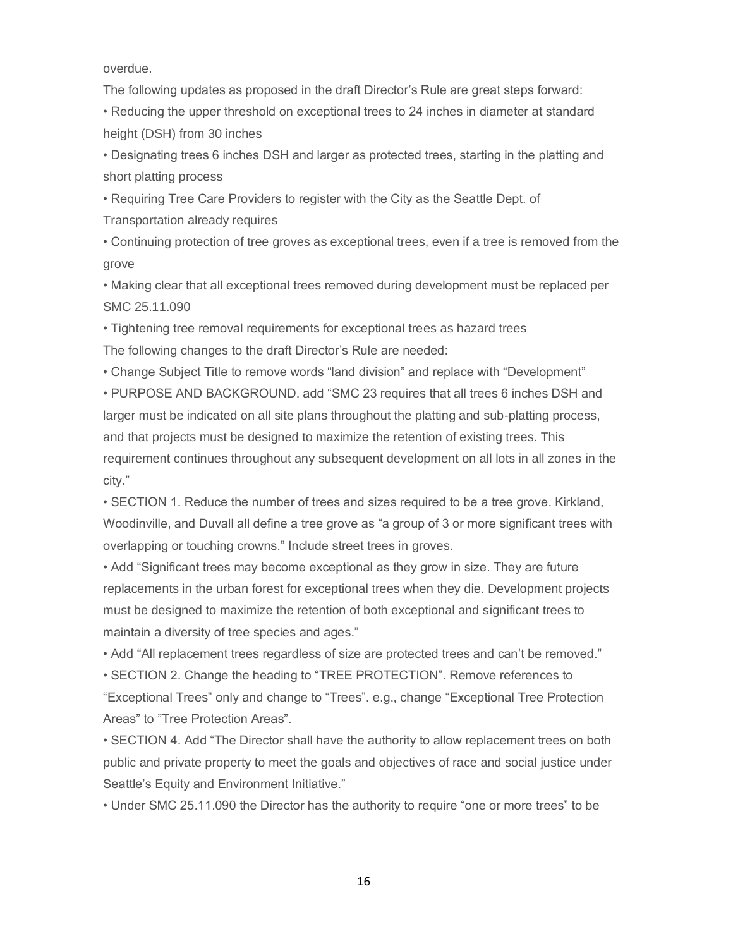overdue.

The following updates as proposed in the draft Director's Rule are great steps forward:

• Reducing the upper threshold on exceptional trees to 24 inches in diameter at standard height (DSH) from 30 inches

• Designating trees 6 inches DSH and larger as protected trees, starting in the platting and short platting process

• Requiring Tree Care Providers to register with the City as the Seattle Dept. of

Transportation already requires

• Continuing protection of tree groves as exceptional trees, even if a tree is removed from the grove

• Making clear that all exceptional trees removed during development must be replaced per SMC 25.11.090

• Tightening tree removal requirements for exceptional trees as hazard trees

The following changes to the draft Director's Rule are needed:

• Change Subject Title to remove words "land division" and replace with "Development"

• PURPOSE AND BACKGROUND. add "SMC 23 requires that all trees 6 inches DSH and larger must be indicated on all site plans throughout the platting and sub-platting process, and that projects must be designed to maximize the retention of existing trees. This requirement continues throughout any subsequent development on all lots in all zones in the city."

• SECTION 1. Reduce the number of trees and sizes required to be a tree grove. Kirkland, Woodinville, and Duvall all define a tree grove as "a group of 3 or more significant trees with overlapping or touching crowns." Include street trees in groves.

• Add "Significant trees may become exceptional as they grow in size. They are future replacements in the urban forest for exceptional trees when they die. Development projects must be designed to maximize the retention of both exceptional and significant trees to maintain a diversity of tree species and ages."

• Add "All replacement trees regardless of size are protected trees and can't be removed."

• SECTION 2. Change the heading to "TREE PROTECTION". Remove references to "Exceptional Trees" only and change to "Trees". e.g., change "Exceptional Tree Protection

Areas" to "Tree Protection Areas".

• SECTION 4. Add "The Director shall have the authority to allow replacement trees on both public and private property to meet the goals and objectives of race and social justice under Seattle's Equity and Environment Initiative."

• Under SMC 25.11.090 the Director has the authority to require "one or more trees" to be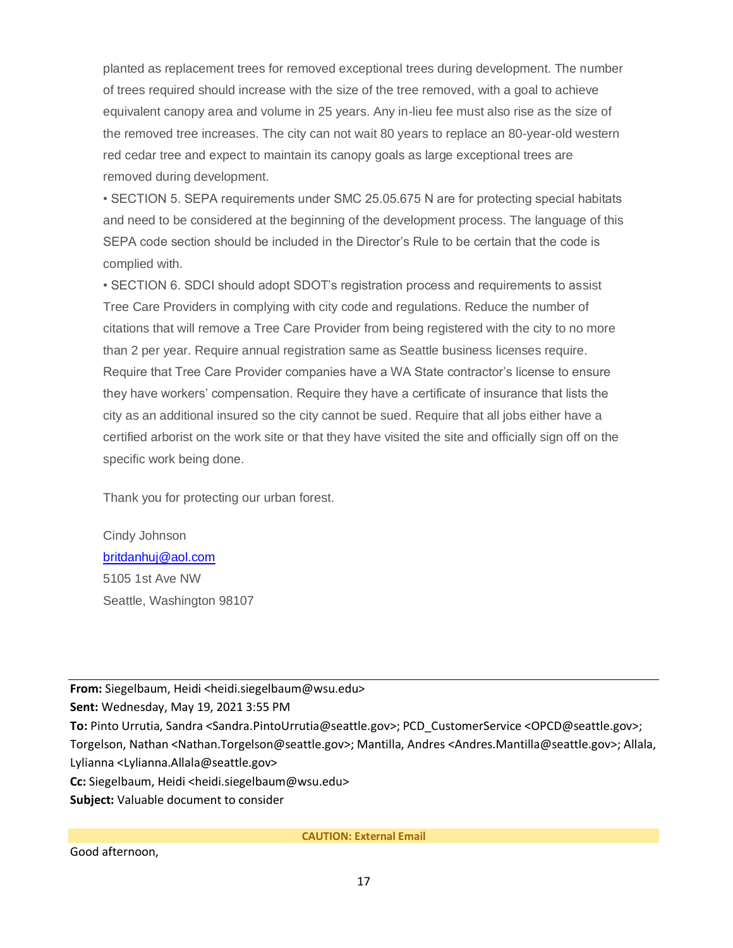planted as replacement trees for removed exceptional trees during development. The number of trees required should increase with the size of the tree removed, with a goal to achieve equivalent canopy area and volume in 25 years. Any in-lieu fee must also rise as the size of the removed tree increases. The city can not wait 80 years to replace an 80-year-old western red cedar tree and expect to maintain its canopy goals as large exceptional trees are removed during development.

• SECTION 5. SEPA requirements under SMC 25.05.675 N are for protecting special habitats and need to be considered at the beginning of the development process. The language of this SEPA code section should be included in the Director's Rule to be certain that the code is complied with.

• SECTION 6. SDCI should adopt SDOT's registration process and requirements to assist Tree Care Providers in complying with city code and regulations. Reduce the number of citations that will remove a Tree Care Provider from being registered with the city to no more than 2 per year. Require annual registration same as Seattle business licenses require. Require that Tree Care Provider companies have a WA State contractor's license to ensure they have workers' compensation. Require they have a certificate of insurance that lists the city as an additional insured so the city cannot be sued. Require that all jobs either have a certified arborist on the work site or that they have visited the site and officially sign off on the specific work being done.

Thank you for protecting our urban forest.

Cindy Johnson [britdanhuj@aol.com](mailto:britdanhuj@aol.com) 5105 1st Ave NW Seattle, Washington 98107

**From:** Siegelbaum, Heidi <heidi.siegelbaum@wsu.edu> **Sent:** Wednesday, May 19, 2021 3:55 PM **To:** Pinto Urrutia, Sandra <Sandra.PintoUrrutia@seattle.gov>; PCD\_CustomerService <OPCD@seattle.gov>; Torgelson, Nathan <Nathan.Torgelson@seattle.gov>; Mantilla, Andres <Andres.Mantilla@seattle.gov>; Allala, Lylianna <Lylianna.Allala@seattle.gov> **Cc:** Siegelbaum, Heidi <heidi.siegelbaum@wsu.edu> **Subject:** Valuable document to consider

**CAUTION: External Email**

Good afternoon,